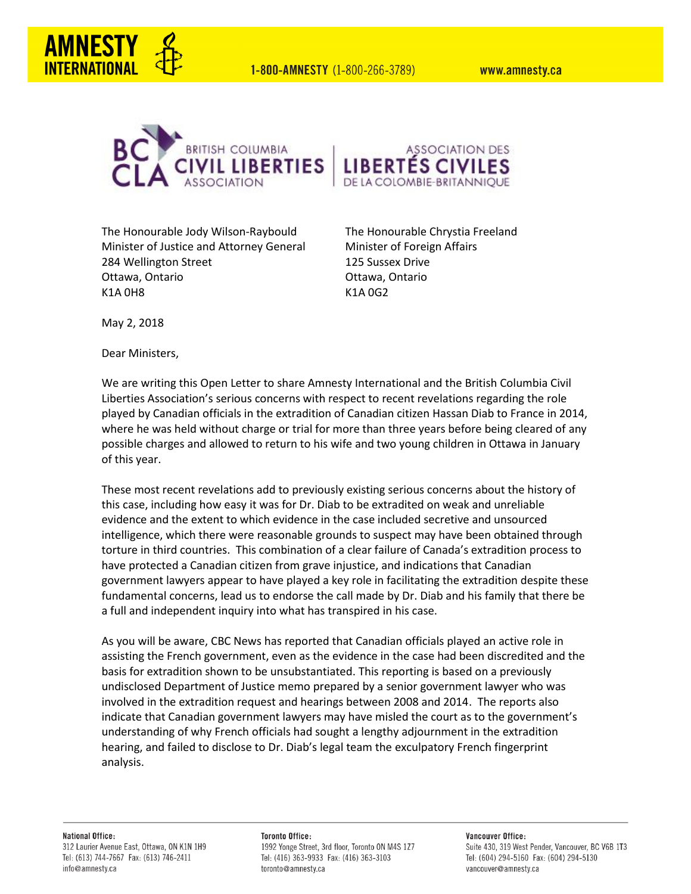1-800-AMNESTY (1-800-266-3789)

www.amnesty.ca





The Honourable Jody Wilson-Raybould The Honourable Chrystia Freeland Minister of Justice and Attorney General Minister of Foreign Affairs 284 Wellington Street 125 Sussex Drive Ottawa, Ontario Ottawa, Ontario K1A 0H8 K1A 0G2

May 2, 2018

Dear Ministers,

We are writing this Open Letter to share Amnesty International and the British Columbia Civil Liberties Association's serious concerns with respect to recent revelations regarding the role played by Canadian officials in the extradition of Canadian citizen Hassan Diab to France in 2014, where he was held without charge or trial for more than three years before being cleared of any possible charges and allowed to return to his wife and two young children in Ottawa in January of this year.

These most recent revelations add to previously existing serious concerns about the history of this case, including how easy it was for Dr. Diab to be extradited on weak and unreliable evidence and the extent to which evidence in the case included secretive and unsourced intelligence, which there were reasonable grounds to suspect may have been obtained through torture in third countries. This combination of a clear failure of Canada's extradition process to have protected a Canadian citizen from grave injustice, and indications that Canadian government lawyers appear to have played a key role in facilitating the extradition despite these fundamental concerns, lead us to endorse the call made by Dr. Diab and his family that there be a full and independent inquiry into what has transpired in his case.

As you will be aware, CBC News has reported that Canadian officials played an active role in assisting the French government, even as the evidence in the case had been discredited and the basis for extradition shown to be unsubstantiated. This reporting is based on a previously undisclosed Department of Justice memo prepared by a senior government lawyer who was involved in the extradition request and hearings between 2008 and 2014. The reports also indicate that Canadian government lawyers may have misled the court as to the government's understanding of why French officials had sought a lengthy adjournment in the extradition hearing, and failed to disclose to Dr. Diab's legal team the exculpatory French fingerprint analysis.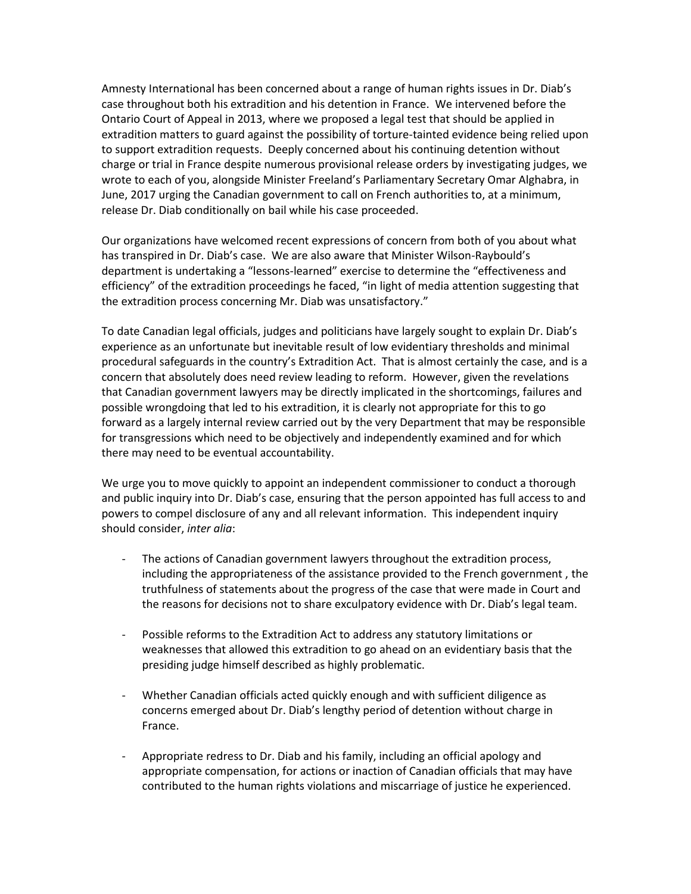Amnesty International has been concerned about a range of human rights issues in Dr. Diab's case throughout both his extradition and his detention in France. We intervened before the Ontario Court of Appeal in 2013, where we proposed a legal test that should be applied in extradition matters to guard against the possibility of torture-tainted evidence being relied upon to support extradition requests. Deeply concerned about his continuing detention without charge or trial in France despite numerous provisional release orders by investigating judges, we wrote to each of you, alongside Minister Freeland's Parliamentary Secretary Omar Alghabra, in June, 2017 urging the Canadian government to call on French authorities to, at a minimum, release Dr. Diab conditionally on bail while his case proceeded.

Our organizations have welcomed recent expressions of concern from both of you about what has transpired in Dr. Diab's case. We are also aware that Minister Wilson-Raybould's department is undertaking a "lessons-learned" exercise to determine the "effectiveness and efficiency" of the extradition proceedings he faced, "in light of media attention suggesting that the extradition process concerning Mr. Diab was unsatisfactory."

To date Canadian legal officials, judges and politicians have largely sought to explain Dr. Diab's experience as an unfortunate but inevitable result of low evidentiary thresholds and minimal procedural safeguards in the country's Extradition Act. That is almost certainly the case, and is a concern that absolutely does need review leading to reform. However, given the revelations that Canadian government lawyers may be directly implicated in the shortcomings, failures and possible wrongdoing that led to his extradition, it is clearly not appropriate for this to go forward as a largely internal review carried out by the very Department that may be responsible for transgressions which need to be objectively and independently examined and for which there may need to be eventual accountability.

We urge you to move quickly to appoint an independent commissioner to conduct a thorough and public inquiry into Dr. Diab's case, ensuring that the person appointed has full access to and powers to compel disclosure of any and all relevant information. This independent inquiry should consider, *inter alia*:

- The actions of Canadian government lawyers throughout the extradition process, including the appropriateness of the assistance provided to the French government , the truthfulness of statements about the progress of the case that were made in Court and the reasons for decisions not to share exculpatory evidence with Dr. Diab's legal team.
- Possible reforms to the Extradition Act to address any statutory limitations or weaknesses that allowed this extradition to go ahead on an evidentiary basis that the presiding judge himself described as highly problematic.
- Whether Canadian officials acted quickly enough and with sufficient diligence as concerns emerged about Dr. Diab's lengthy period of detention without charge in France.
- Appropriate redress to Dr. Diab and his family, including an official apology and appropriate compensation, for actions or inaction of Canadian officials that may have contributed to the human rights violations and miscarriage of justice he experienced.